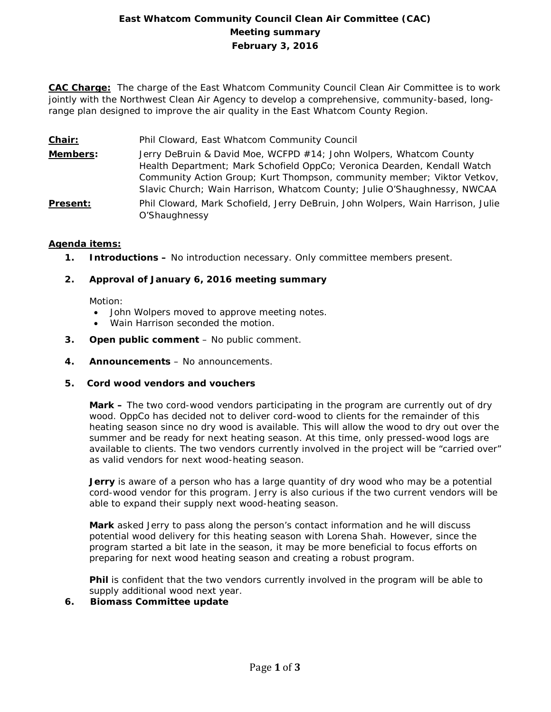# **East Whatcom Community Council Clean Air Committee (CAC) Meeting summary February 3, 2016**

**CAC Charge:** The charge of the East Whatcom Community Council Clean Air Committee is to work jointly with the Northwest Clean Air Agency to develop a comprehensive, community-based, longrange plan designed to improve the air quality in the East Whatcom County Region.

- **Chair:** Phil Cloward, East Whatcom Community Council
- **Members:** Jerry DeBruin & David Moe, WCFPD #14; John Wolpers, Whatcom County Health Department; Mark Schofield OppCo; Veronica Dearden, Kendall Watch Community Action Group; Kurt Thompson, community member; Viktor Vetkov, Slavic Church; Wain Harrison, Whatcom County; Julie O'Shaughnessy, NWCAA
- **Present:** Phil Cloward, Mark Schofield, Jerry DeBruin, John Wolpers, Wain Harrison, Julie O'Shaughnessy

## **Agenda items:**

**1. Introductions –** No introduction necessary. Only committee members present.

## **2. Approval of January 6, 2016 meeting summary**

Motion:

- John Wolpers moved to approve meeting notes.
- Wain Harrison seconded the motion.
- **3. Open public comment**  No public comment.
- **4. Announcements**  No announcements.
- **5. Cord wood vendors and vouchers**

**Mark –** The two cord-wood vendors participating in the program are currently out of dry wood. OppCo has decided not to deliver cord-wood to clients for the remainder of this heating season since no dry wood is available. This will allow the wood to dry out over the summer and be ready for next heating season. At this time, only pressed-wood logs are available to clients. The two vendors currently involved in the project will be "carried over" as valid vendors for next wood-heating season.

**Jerry** is aware of a person who has a large quantity of dry wood who may be a potential cord-wood vendor for this program. Jerry is also curious if the two current vendors will be able to expand their supply next wood-heating season.

**Mark** asked Jerry to pass along the person's contact information and he will discuss potential wood delivery for this heating season with Lorena Shah. However, since the program started a bit late in the season, it may be more beneficial to focus efforts on preparing for next wood heating season and creating a robust program.

**Phil** is confident that the two vendors currently involved in the program will be able to supply additional wood next year.

**6. Biomass Committee update**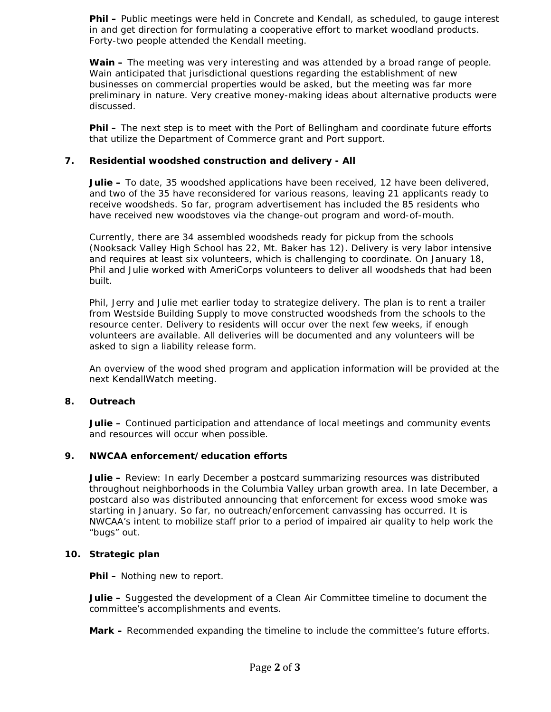**Phil –** Public meetings were held in Concrete and Kendall, as scheduled, to gauge interest in and get direction for formulating a cooperative effort to market woodland products. Forty-two people attended the Kendall meeting.

**Wain –** The meeting was very interesting and was attended by a broad range of people. Wain anticipated that jurisdictional questions regarding the establishment of new businesses on commercial properties would be asked, but the meeting was far more preliminary in nature. Very creative money-making ideas about alternative products were discussed.

**Phil –** The next step is to meet with the Port of Bellingham and coordinate future efforts that utilize the Department of Commerce grant and Port support.

## **7. Residential woodshed construction and delivery - All**

**Julie –** To date, 35 woodshed applications have been received, 12 have been delivered, and two of the 35 have reconsidered for various reasons, leaving 21 applicants ready to receive woodsheds. So far, program advertisement has included the 85 residents who have received new woodstoves via the change-out program and word-of-mouth.

Currently, there are 34 assembled woodsheds ready for pickup from the schools (Nooksack Valley High School has 22, Mt. Baker has 12). Delivery is very labor intensive and requires at least six volunteers, which is challenging to coordinate. On January 18, Phil and Julie worked with AmeriCorps volunteers to deliver all woodsheds that had been built.

Phil, Jerry and Julie met earlier today to strategize delivery. The plan is to rent a trailer from Westside Building Supply to move constructed woodsheds from the schools to the resource center. Delivery to residents will occur over the next few weeks, if enough volunteers are available. All deliveries will be documented and any volunteers will be asked to sign a liability release form.

An overview of the wood shed program and application information will be provided at the next KendallWatch meeting.

### **8. Outreach**

**Julie –** Continued participation and attendance of local meetings and community events and resources will occur when possible.

### **9. NWCAA enforcement/education efforts**

**Julie –** Review: In early December a postcard summarizing resources was distributed throughout neighborhoods in the Columbia Valley urban growth area. In late December, a postcard also was distributed announcing that enforcement for excess wood smoke was starting in January. So far, no outreach/enforcement canvassing has occurred. It is NWCAA's intent to mobilize staff prior to a period of impaired air quality to help work the "bugs" out.

#### **10. Strategic plan**

**Phil –** Nothing new to report.

**Julie –** Suggested the development of a Clean Air Committee timeline to document the committee's accomplishments and events.

**Mark –** Recommended expanding the timeline to include the committee's future efforts.